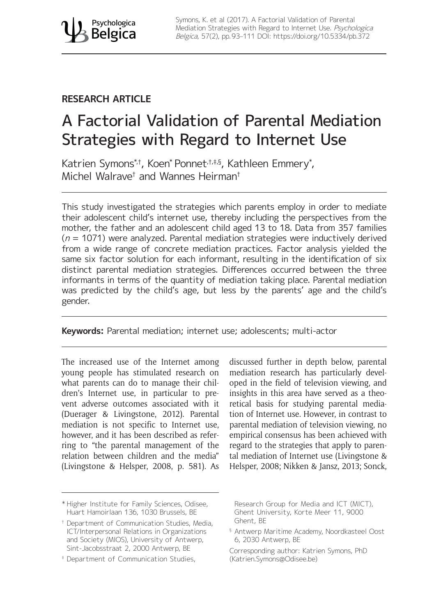## **RESEARCH ARTICLE**

# A Factorial Validation of Parental Mediation Strategies with Regard to Internet Use

Katrien Symons\*†, Koen\* Ponnet<sup>,†,‡,§</sup>, Kathleen Emmery\*, Michel Walrave† and Wannes Heirman†

This study investigated the strategies which parents employ in order to mediate their adolescent child's internet use, thereby including the perspectives from the mother, the father and an adolescent child aged 13 to 18. Data from 357 families  $(n = 1071)$  were analyzed. Parental mediation strategies were inductively derived from a wide range of concrete mediation practices. Factor analysis yielded the same six factor solution for each informant, resulting in the identification of six distinct parental mediation strategies. Differences occurred between the three informants in terms of the quantity of mediation taking place. Parental mediation was predicted by the child's age, but less by the parents' age and the child's gender.

**Keywords:** Parental mediation; internet use; adolescents; multi-actor

The increased use of the Internet among young people has stimulated research on what parents can do to manage their children's Internet use, in particular to prevent adverse outcomes associated with it (Duerager & Livingstone, 2012). Parental mediation is not specific to Internet use, however, and it has been described as referring to "the parental management of the relation between children and the media" (Livingstone & Helsper, 2008, p. 581). As discussed further in depth below, parental mediation research has particularly developed in the field of television viewing, and insights in this area have served as a theoretical basis for studying parental mediation of Internet use. However, in contrast to parental mediation of television viewing, no empirical consensus has been achieved with regard to the strategies that apply to parental mediation of Internet use (Livingstone & Helsper, 2008; Nikken & Jansz, 2013; Sonck,

<sup>\*</sup> Higher Institute for Family Sciences, Odisee, Huart Hamoirlaan 136, 1030 Brussels, BE

<sup>†</sup> Department of Communication Studies, Media, ICT/Interpersonal Relations in Organizations and Society (MIOS), University of Antwerp, Sint-Jacobsstraat 2, 2000 Antwerp, BE

<sup>‡</sup> Department of Communication Studies,

Research Group for Media and ICT (MICT), Ghent University, Korte Meer 11, 9000 Ghent, BE

<sup>§</sup> Antwerp Maritime Academy, Noordkasteel Oost 6, 2030 Antwerp, BE

Corresponding author: Katrien Symons, PhD ([Katrien.Symons@Odisee.be](mailto:Katrien.Symons@Odisee.be))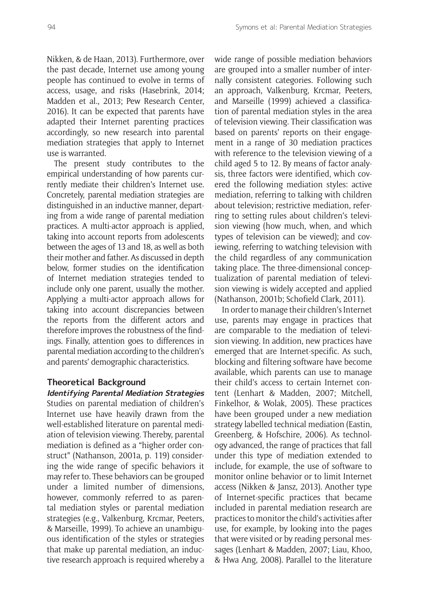Nikken, & de Haan, 2013). Furthermore, over the past decade, Internet use among young people has continued to evolve in terms of access, usage, and risks (Hasebrink, 2014; Madden et al., 2013; Pew Research Center, 2016). It can be expected that parents have adapted their Internet parenting practices accordingly, so new research into parental mediation strategies that apply to Internet use is warranted.

The present study contributes to the empirical understanding of how parents currently mediate their children's Internet use. Concretely, parental mediation strategies are distinguished in an inductive manner, departing from a wide range of parental mediation practices. A multi-actor approach is applied, taking into account reports from adolescents between the ages of 13 and 18, as well as both their mother and father. As discussed in depth below, former studies on the identification of Internet mediation strategies tended to include only one parent, usually the mother. Applying a multi-actor approach allows for taking into account discrepancies between the reports from the different actors and therefore improves the robustness of the findings. Finally, attention goes to differences in parental mediation according to the children's and parents' demographic characteristics.

## **Theoretical Background**

**Identifying Parental Mediation Strategies** Studies on parental mediation of children's Internet use have heavily drawn from the well-established literature on parental mediation of television viewing. Thereby, parental mediation is defined as a "higher order construct" (Nathanson, 2001a, p. 119) considering the wide range of specific behaviors it may refer to. These behaviors can be grouped under a limited number of dimensions, however, commonly referred to as parental mediation styles or parental mediation strategies (e.g., Valkenburg, Krcmar, Peeters, & Marseille, 1999). To achieve an unambiguous identification of the styles or strategies that make up parental mediation, an inductive research approach is required whereby a wide range of possible mediation behaviors are grouped into a smaller number of internally consistent categories. Following such an approach, Valkenburg, Krcmar, Peeters, and Marseille (1999) achieved a classification of parental mediation styles in the area of television viewing. Their classification was based on parents' reports on their engagement in a range of 30 mediation practices with reference to the television viewing of a child aged 5 to 12. By means of factor analysis, three factors were identified, which covered the following mediation styles: active mediation, referring to talking with children about television; restrictive mediation, referring to setting rules about children's television viewing (how much, when, and which types of television can be viewed); and coviewing, referring to watching television with the child regardless of any communication taking place. The three-dimensional conceptualization of parental mediation of television viewing is widely accepted and applied (Nathanson, 2001b; Schofield Clark, 2011).

In order to manage their children's Internet use, parents may engage in practices that are comparable to the mediation of television viewing. In addition, new practices have emerged that are Internet-specific. As such, blocking and filtering software have become available, which parents can use to manage their child's access to certain Internet content (Lenhart & Madden, 2007; Mitchell, Finkelhor, & Wolak, 2005). These practices have been grouped under a new mediation strategy labelled technical mediation (Eastin, Greenberg, & Hofschire, 2006). As technology advanced, the range of practices that fall under this type of mediation extended to include, for example, the use of software to monitor online behavior or to limit Internet access (Nikken & Jansz, 2013). Another type of Internet-specific practices that became included in parental mediation research are practices to monitor the child's activities after use, for example, by looking into the pages that were visited or by reading personal messages (Lenhart & Madden, 2007; Liau, Khoo, & Hwa Ang, 2008). Parallel to the literature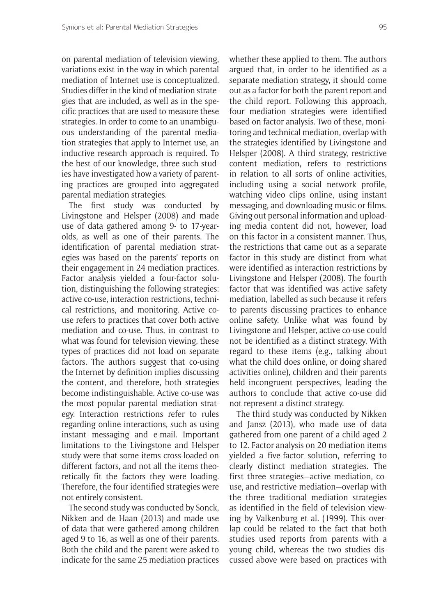on parental mediation of television viewing, variations exist in the way in which parental mediation of Internet use is conceptualized. Studies differ in the kind of mediation strategies that are included, as well as in the specific practices that are used to measure these strategies. In order to come to an unambiguous understanding of the parental mediation strategies that apply to Internet use, an inductive research approach is required. To the best of our knowledge, three such studies have investigated how a variety of parenting practices are grouped into aggregated parental mediation strategies.

The first study was conducted by Livingstone and Helsper (2008) and made use of data gathered among 9- to 17-yearolds, as well as one of their parents. The identification of parental mediation strategies was based on the parents' reports on their engagement in 24 mediation practices. Factor analysis yielded a four-factor solution, distinguishing the following strategies: active co-use, interaction restrictions, technical restrictions, and monitoring. Active couse refers to practices that cover both active mediation and co-use. Thus, in contrast to what was found for television viewing, these types of practices did not load on separate factors. The authors suggest that co-using the Internet by definition implies discussing the content, and therefore, both strategies become indistinguishable. Active co-use was the most popular parental mediation strategy. Interaction restrictions refer to rules regarding online interactions, such as using instant messaging and e-mail. Important limitations to the Livingstone and Helsper study were that some items cross-loaded on different factors, and not all the items theoretically fit the factors they were loading. Therefore, the four identified strategies were not entirely consistent.

The second study was conducted by Sonck, Nikken and de Haan (2013) and made use of data that were gathered among children aged 9 to 16, as well as one of their parents. Both the child and the parent were asked to indicate for the same 25 mediation practices whether these applied to them. The authors argued that, in order to be identified as a separate mediation strategy, it should come out as a factor for both the parent report and the child report. Following this approach, four mediation strategies were identified based on factor analysis. Two of these, monitoring and technical mediation, overlap with the strategies identified by Livingstone and Helsper (2008). A third strategy, restrictive content mediation, refers to restrictions in relation to all sorts of online activities, including using a social network profile, watching video clips online, using instant messaging, and downloading music or films. Giving out personal information and uploading media content did not, however, load on this factor in a consistent manner. Thus, the restrictions that came out as a separate factor in this study are distinct from what were identified as interaction restrictions by Livingstone and Helsper (2008). The fourth factor that was identified was active safety mediation, labelled as such because it refers to parents discussing practices to enhance online safety. Unlike what was found by Livingstone and Helsper, active co-use could not be identified as a distinct strategy. With regard to these items (e.g., talking about what the child does online, or doing shared activities online), children and their parents held incongruent perspectives, leading the authors to conclude that active co-use did not represent a distinct strategy.

The third study was conducted by Nikken and Jansz (2013), who made use of data gathered from one parent of a child aged 2 to 12. Factor analysis on 20 mediation items yielded a five-factor solution, referring to clearly distinct mediation strategies. The first three strategies—active mediation, couse, and restrictive mediation—overlap with the three traditional mediation strategies as identified in the field of television viewing by Valkenburg et al. (1999). This overlap could be related to the fact that both studies used reports from parents with a young child, whereas the two studies discussed above were based on practices with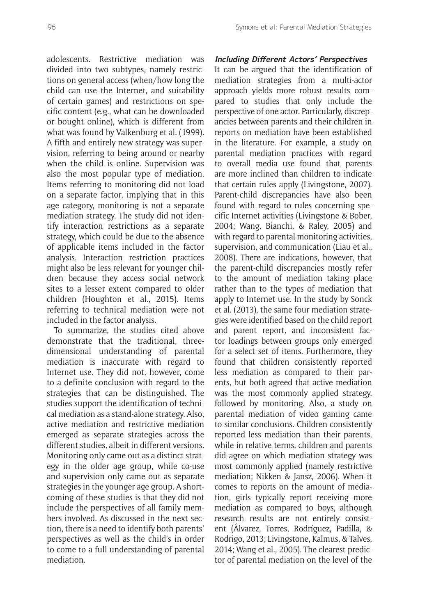adolescents. Restrictive mediation was divided into two subtypes, namely restrictions on general access (when/how long the child can use the Internet, and suitability of certain games) and restrictions on specific content (e.g., what can be downloaded or bought online), which is different from what was found by Valkenburg et al. (1999). A fifth and entirely new strategy was supervision, referring to being around or nearby when the child is online. Supervision was also the most popular type of mediation. Items referring to monitoring did not load on a separate factor, implying that in this age category, monitoring is not a separate mediation strategy. The study did not identify interaction restrictions as a separate strategy, which could be due to the absence of applicable items included in the factor analysis. Interaction restriction practices might also be less relevant for younger children because they access social network sites to a lesser extent compared to older children (Houghton et al., 2015). Items referring to technical mediation were not included in the factor analysis.

To summarize, the studies cited above demonstrate that the traditional, threedimensional understanding of parental mediation is inaccurate with regard to Internet use. They did not, however, come to a definite conclusion with regard to the strategies that can be distinguished. The studies support the identification of technical mediation as a stand-alone strategy. Also, active mediation and restrictive mediation emerged as separate strategies across the different studies, albeit in different versions. Monitoring only came out as a distinct strategy in the older age group, while co-use and supervision only came out as separate strategies in the younger age group. A shortcoming of these studies is that they did not include the perspectives of all family members involved. As discussed in the next section, there is a need to identify both parents' perspectives as well as the child's in order to come to a full understanding of parental mediation.

**Including Different Actors' Perspectives** It can be argued that the identification of mediation strategies from a multi-actor approach yields more robust results compared to studies that only include the perspective of one actor. Particularly, discrepancies between parents and their children in reports on mediation have been established in the literature. For example, a study on parental mediation practices with regard to overall media use found that parents are more inclined than children to indicate that certain rules apply (Livingstone, 2007). Parent-child discrepancies have also been found with regard to rules concerning specific Internet activities (Livingstone & Bober, 2004; Wang, Bianchi, & Raley, 2005) and with regard to parental monitoring activities, supervision, and communication (Liau et al., 2008). There are indications, however, that the parent-child discrepancies mostly refer to the amount of mediation taking place rather than to the types of mediation that apply to Internet use. In the study by Sonck et al. (2013), the same four mediation strategies were identified based on the child report and parent report, and inconsistent factor loadings between groups only emerged for a select set of items. Furthermore, they found that children consistently reported less mediation as compared to their parents, but both agreed that active mediation was the most commonly applied strategy, followed by monitoring. Also, a study on parental mediation of video gaming came to similar conclusions. Children consistently reported less mediation than their parents, while in relative terms, children and parents did agree on which mediation strategy was most commonly applied (namely restrictive mediation; Nikken & Jansz, 2006). When it comes to reports on the amount of mediation, girls typically report receiving more mediation as compared to boys, although research results are not entirely consistent (Álvarez, Torres, Rodríguez, Padilla, & Rodrigo, 2013; Livingstone, Kalmus, & Talves, 2014; Wang et al., 2005). The clearest predictor of parental mediation on the level of the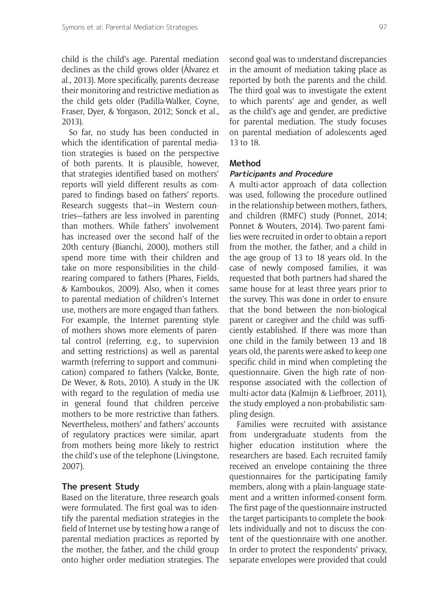child is the child's age. Parental mediation declines as the child grows older (Álvarez et al., 2013). More specifically, parents decrease their monitoring and restrictive mediation as the child gets older (Padilla-Walker, Coyne, Fraser, Dyer, & Yorgason, 2012; Sonck et al., 2013).

So far, no study has been conducted in which the identification of parental mediation strategies is based on the perspective of both parents. It is plausible, however, that strategies identified based on mothers' reports will yield different results as compared to findings based on fathers' reports. Research suggests that—in Western countries—fathers are less involved in parenting than mothers. While fathers' involvement has increased over the second half of the 20th century (Bianchi, 2000), mothers still spend more time with their children and take on more responsibilities in the childrearing compared to fathers (Phares, Fields, & Kamboukos, 2009). Also, when it comes to parental mediation of children's Internet use, mothers are more engaged than fathers. For example, the Internet parenting style of mothers shows more elements of parental control (referring, e.g., to supervision and setting restrictions) as well as parental warmth (referring to support and communication) compared to fathers (Valcke, Bonte, De Wever, & Rots, 2010). A study in the UK with regard to the regulation of media use in general found that children perceive mothers to be more restrictive than fathers. Nevertheless, mothers' and fathers' accounts of regulatory practices were similar, apart from mothers being more likely to restrict the child's use of the telephone (Livingstone, 2007).

## **The present Study**

Based on the literature, three research goals were formulated. The first goal was to identify the parental mediation strategies in the field of Internet use by testing how a range of parental mediation practices as reported by the mother, the father, and the child group onto higher order mediation strategies. The second goal was to understand discrepancies in the amount of mediation taking place as reported by both the parents and the child. The third goal was to investigate the extent to which parents' age and gender, as well as the child's age and gender, are predictive for parental mediation. The study focuses on parental mediation of adolescents aged 13 to 18.

## **Method**

#### **Participants and Procedure**

A multi-actor approach of data collection was used, following the procedure outlined in the relationship between mothers, fathers, and children (RMFC) study (Ponnet, 2014; Ponnet & Wouters, 2014). Two-parent families were recruited in order to obtain a report from the mother, the father, and a child in the age group of 13 to 18 years old. In the case of newly composed families, it was requested that both partners had shared the same house for at least three years prior to the survey. This was done in order to ensure that the bond between the non-biological parent or caregiver and the child was sufficiently established. If there was more than one child in the family between 13 and 18 years old, the parents were asked to keep one specific child in mind when completing the questionnaire. Given the high rate of nonresponse associated with the collection of multi-actor data (Kalmijn & Liefbroer, 2011), the study employed a non-probabilistic sampling design.

Families were recruited with assistance from undergraduate students from the higher education institution where the researchers are based. Each recruited family received an envelope containing the three questionnaires for the participating family members, along with a plain-language statement and a written informed-consent form. The first page of the questionnaire instructed the target participants to complete the booklets individually and not to discuss the content of the questionnaire with one another. In order to protect the respondents' privacy, separate envelopes were provided that could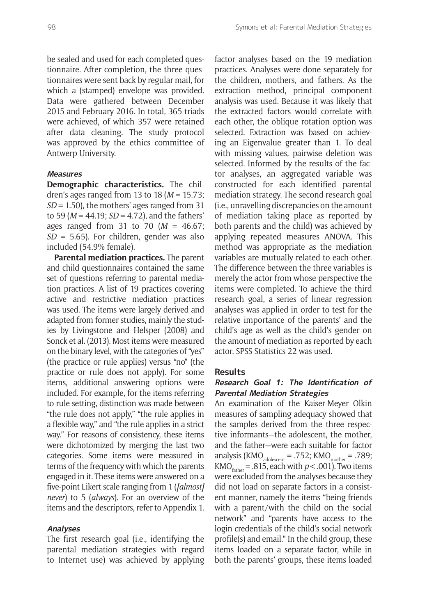be sealed and used for each completed questionnaire. After completion, the three questionnaires were sent back by regular mail, for which a (stamped) envelope was provided. Data were gathered between December 2015 and February 2016. In total, 365 triads were achieved, of which 357 were retained after data cleaning. The study protocol was approved by the ethics committee of Antwerp University.

#### **Measures**

**Demographic characteristics.** The children's ages ranged from 13 to 18 (*M* = 15.73; *SD* = 1.50), the mothers' ages ranged from 31 to 59 (*M* = 44.19; *SD* = 4.72), and the fathers' ages ranged from 31 to 70 (*M* = 46.67; *SD* = 5.65). For children, gender was also included (54.9% female).

**Parental mediation practices.** The parent and child questionnaires contained the same set of questions referring to parental mediation practices. A list of 19 practices covering active and restrictive mediation practices was used. The items were largely derived and adapted from former studies, mainly the studies by Livingstone and Helsper (2008) and Sonck et al. (2013). Most items were measured on the binary level, with the categories of "yes" (the practice or rule applies) versus "no" (the practice or rule does not apply). For some items, additional answering options were included. For example, for the items referring to rule-setting, distinction was made between "the rule does not apply," "the rule applies in a flexible way," and "the rule applies in a strict way." For reasons of consistency, these items were dichotomized by merging the last two categories. Some items were measured in terms of the frequency with which the parents engaged in it. These items were answered on a five-point Likert scale ranging from 1 (*[almost] never*) to 5 (*always*). For an overview of the items and the descriptors, refer to Appendix 1.

## **Analyses**

The first research goal (i.e., identifying the parental mediation strategies with regard to Internet use) was achieved by applying factor analyses based on the 19 mediation practices. Analyses were done separately for the children, mothers, and fathers. As the extraction method, principal component analysis was used. Because it was likely that the extracted factors would correlate with each other, the oblique rotation option was selected. Extraction was based on achieving an Eigenvalue greater than 1. To deal with missing values, pairwise deletion was selected. Informed by the results of the factor analyses, an aggregated variable was constructed for each identified parental mediation strategy. The second research goal (i.e., unravelling discrepancies on the amount of mediation taking place as reported by both parents and the child) was achieved by applying repeated measures ANOVA. This method was appropriate as the mediation variables are mutually related to each other. The difference between the three variables is merely the actor from whose perspective the items were completed. To achieve the third research goal, a series of linear regression analyses was applied in order to test for the relative importance of the parents' and the child's age as well as the child's gender on the amount of mediation as reported by each actor. SPSS Statistics 22 was used.

#### **Results**

## **Research Goal 1: The Identification of Parental Mediation Strategies**

An examination of the Kaiser-Meyer Olkin measures of sampling adequacy showed that the samples derived from the three respective informants—the adolescent, the mother, and the father—were each suitable for factor analysis (KMO<sub>adolescent</sub> = .752; KMO<sub>mother</sub> = .789; KMO<sub>father</sub> = .815, each with  $p < .001$ ). Two items were excluded from the analyses because they did not load on separate factors in a consistent manner, namely the items "being friends with a parent/with the child on the social network" and "parents have access to the login credentials of the child's social network profile(s) and email." In the child group, these items loaded on a separate factor, while in both the parents' groups, these items loaded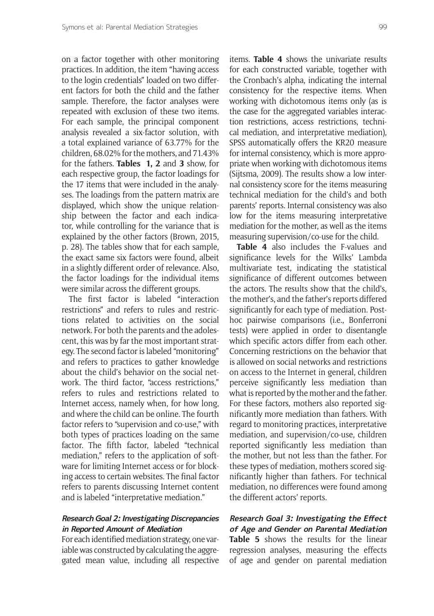on a factor together with other monitoring practices. In addition, the item "having access to the login credentials" loaded on two different factors for both the child and the father sample. Therefore, the factor analyses were repeated with exclusion of these two items. For each sample, the principal component analysis revealed a six-factor solution, with a total explained variance of 63.77% for the children, 68.02% for the mothers, and 71.43% for the fathers. **Tables 1, 2** and **3** show, for each respective group, the factor loadings for the 17 items that were included in the analyses. The loadings from the pattern matrix are displayed, which show the unique relationship between the factor and each indicator, while controlling for the variance that is explained by the other factors (Brown, 2015, p. 28). The tables show that for each sample, the exact same six factors were found, albeit in a slightly different order of relevance. Also, the factor loadings for the individual items were similar across the different groups.

The first factor is labeled "interaction restrictions" and refers to rules and restrictions related to activities on the social network. For both the parents and the adolescent, this was by far the most important strategy. The second factor is labeled "monitoring" and refers to practices to gather knowledge about the child's behavior on the social network. The third factor, "access restrictions," refers to rules and restrictions related to Internet access, namely when, for how long, and where the child can be online. The fourth factor refers to "supervision and co-use," with both types of practices loading on the same factor. The fifth factor, labeled "technical mediation," refers to the application of software for limiting Internet access or for blocking access to certain websites. The final factor refers to parents discussing Internet content and is labeled "interpretative mediation."

## **Research Goal 2: Investigating Discrepancies in Reported Amount of Mediation**

For each identified mediation strategy, one variable was constructed by calculating the aggregated mean value, including all respective

items. **Table 4** shows the univariate results for each constructed variable, together with the Cronbach's alpha, indicating the internal consistency for the respective items. When working with dichotomous items only (as is the case for the aggregated variables interaction restrictions, access restrictions, technical mediation, and interpretative mediation), SPSS automatically offers the KR20 measure for internal consistency, which is more appropriate when working with dichotomous items (Sijtsma, 2009). The results show a low internal consistency score for the items measuring technical mediation for the child's and both parents' reports. Internal consistency was also low for the items measuring interpretative mediation for the mother, as well as the items measuring supervision/co-use for the child.

**Table 4** also includes the F-values and significance levels for the Wilks' Lambda multivariate test, indicating the statistical significance of different outcomes between the actors. The results show that the child's, the mother's, and the father's reports differed significantly for each type of mediation. Posthoc pairwise comparisons (i.e., Bonferroni tests) were applied in order to disentangle which specific actors differ from each other. Concerning restrictions on the behavior that is allowed on social networks and restrictions on access to the Internet in general, children perceive significantly less mediation than what is reported by the mother and the father. For these factors, mothers also reported significantly more mediation than fathers. With regard to monitoring practices, interpretative mediation, and supervision/co-use, children reported significantly less mediation than the mother, but not less than the father. For these types of mediation, mothers scored significantly higher than fathers. For technical mediation, no differences were found among the different actors' reports.

**Research Goal 3: Investigating the Effect of Age and Gender on Parental Mediation Table 5** shows the results for the linear regression analyses, measuring the effects of age and gender on parental mediation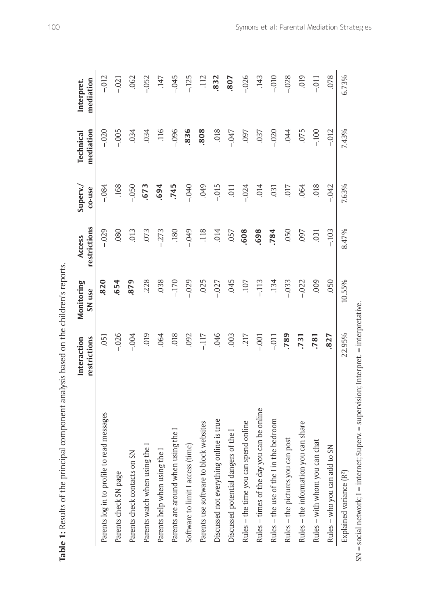| is and is                                                          |  |
|--------------------------------------------------------------------|--|
|                                                                    |  |
|                                                                    |  |
|                                                                    |  |
| ;<br>;                                                             |  |
|                                                                    |  |
| į                                                                  |  |
|                                                                    |  |
|                                                                    |  |
|                                                                    |  |
| יים ביות הוא הוא הראשי המה היה והיה היה ההתה היה היה היה היה היה ה |  |
|                                                                    |  |
|                                                                    |  |
| ֦֧֦֧֦֧֦֧֦֧֦֧֦֧֦֧֦֧֦֧֦֧֦֧֦֧֦֧֦֧֦֧֦֧֧֦֧֦֧֜֜֓֜֜֜֜֜֜֜<br>֧֢֜           |  |
|                                                                    |  |
| ;<br>;                                                             |  |
|                                                                    |  |
| j                                                                  |  |
|                                                                    |  |

|                                                                                        | restrictions<br>Interaction | Monitoring<br>SN use | restrictions<br>Access | Superv.<br>$co$ -use | mediation<br><b>Technica</b> | mediation<br>Interpret. |
|----------------------------------------------------------------------------------------|-----------------------------|----------------------|------------------------|----------------------|------------------------------|-------------------------|
| Parents log in to profile to read messages                                             | .051                        | .820                 | $-0.029$               | $-0.84$              | $-0.020$                     | $-.012$                 |
| Parents check SN page                                                                  | $-0.026$                    | .654                 | .080                   | .168                 | $-0.005$                     | $-.021$                 |
| Parents check contacts on SN                                                           | $-004$                      | .879                 | 013                    | $-0.50$              | .034                         | .062                    |
| Parents watch when using the I                                                         | 019                         | 228                  | .073                   | 673                  | 034                          | $-.052$                 |
| Parents help when using the I                                                          | .064                        | .038                 | $-273$                 | 694                  | .116                         | .147                    |
| Parents are around when using the                                                      | .018                        | $-170$               | .180                   | .745                 | $-0.096$                     | $-0.45$                 |
| Software to limit I access (time)                                                      | .092                        | $-0.029$             | $-0.49$                | $-040$               | .836                         | $-125$                  |
| Parents use software to block websites                                                 | $-117$                      | 025                  | .118                   | 049                  | .808                         | .112                    |
| Discussed not everything online is true                                                | 046                         | $-.027$              | 014                    | $-0.015$             | 018                          | .832                    |
| Discussed potential dangers of the I                                                   | 003                         | 045                  | .057                   | .011                 | $-0.47$                      | .807                    |
| Rules - the time you can spend online                                                  | 217                         | .107                 | .608                   | $-.024$              | 097                          | $-0.026$                |
| Rules – times of the day you can be online                                             | $-.001$                     | $-113$               | .698                   | .014                 | 037                          | .143                    |
| ie bedroom<br>Rules – the use of the I in th                                           | $-011$                      | .134                 | .784                   | .031                 | $-0.020$                     | $-010$                  |
| Rules - the pictures you can post                                                      | .789                        | $-.033$              | .050                   | 017                  | 044                          | $-.028$                 |
| can share<br>Rules - the information you                                               | 731                         | $-.022$              | <b>097</b>             | .064                 | .075                         | 019                     |
| chat<br>Rules - with whom you can                                                      | 781                         | 009                  | 031                    | 018                  | $-100$                       | $-011$                  |
| SS<br>Rules - who you can add to                                                       | .827                        | .050                 | $-103$                 | $-.042$              | $-.012$                      | .078                    |
| Explained variance (R <sup>2</sup> )                                                   | 22.95%                      | 10.55%               | 8.47%                  | 7.63%                | 7.43%                        | 6.73%                   |
| SN = social network; I = internet; Superv. = supervision; Interpret. = interpretative. |                             |                      |                        |                      |                              |                         |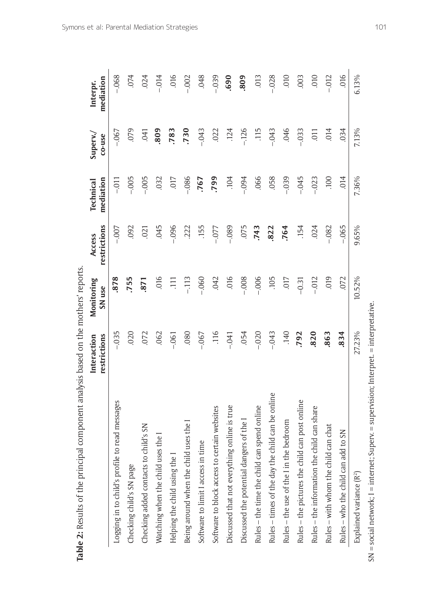|                                                                                             | restrictions<br>Interaction | Monitoring<br>SN use | restrictions<br>Access | mediation<br>Technical | Superv.<br>co-use | mediation<br>Interpr. |
|---------------------------------------------------------------------------------------------|-----------------------------|----------------------|------------------------|------------------------|-------------------|-----------------------|
| Logging in to child's profile to read messages                                              | $-0.035$                    | .878                 | $-007$                 | $-.011$                | $-067$            | $-068$                |
| Checking child's SN page                                                                    | 020                         | .755                 | .092                   | $-0.005$               | 079               | 074                   |
| Checking added contacts to child's SN                                                       | .072                        | .871                 | .021                   | $-0.005$               | $-041$            | .024                  |
| Watching when the child uses the                                                            | .062                        | .016                 | .045                   | .032                   | .809              | $-0.14$               |
| Helping the child using the                                                                 | $-061$                      | $\overline{111}$     | $-0.096$               | 017                    | .783              | 016                   |
| Being around when the child uses the I                                                      | .080                        | $-113$               | .222                   | $-086$                 | .730              | $-.002$               |
| time<br>Software to limit I access in                                                       | $-067$                      | $-060$               | .155                   | .767                   | $-.043$           | 048                   |
| certain websites<br>Software to block access to                                             | .116                        | .042                 | $-077$                 | .799                   | .022              | $-0.39$               |
| Discussed that not everything online is true                                                | $-0.41$                     | .016                 | $-0.89$                | .104                   | .124              | .690                  |
| ngers of the I<br>Discussed the potential dar                                               | .054                        | $-0.08$              | .075                   | $-0.94$                | $-.126$           | .809                  |
| Rules - the time the child can spend online                                                 | $-0.020$                    | $-0.006$             | .743                   | .066                   | .115              | .013                  |
| Rules – times of the day the child can be online                                            | $-.043$                     | .105                 | .822                   | .058                   | $-.043$           | $-.028$               |
| Rules – the use of the I in the bedroom                                                     | <b>140</b>                  | 017                  | .764                   | $-0.39$                | .046              | 010                   |
| Id can post online<br>Rules – the pictures the chi                                          | 792                         | $-0.31$              | .154                   | $-0.045$               | $-.033$           | .003                  |
| child can share<br>Rules – the information the                                              | .820                        | $-012$               | .024                   | $-.023$                | $\overline{0}$    | 010                   |
| d can chat<br>Rules – with whom the chil                                                    | .863                        | 019                  | $-.082$                | .100                   | 014               | $-.012$               |
| Idd to SN<br>Rules – who the child can a                                                    | .834                        | .072                 | $-065$                 | .014                   | 034               | 016                   |
| Explained variance (R <sup>2</sup> )                                                        | 27.23%                      | 10.52%               | 9.65%                  | 7.36%                  | 7.13%             | 6.13%                 |
| Superv. = supervision; Interpret. = interpretative.<br>$SN = social network; l = internet;$ |                             |                      |                        |                        |                   |                       |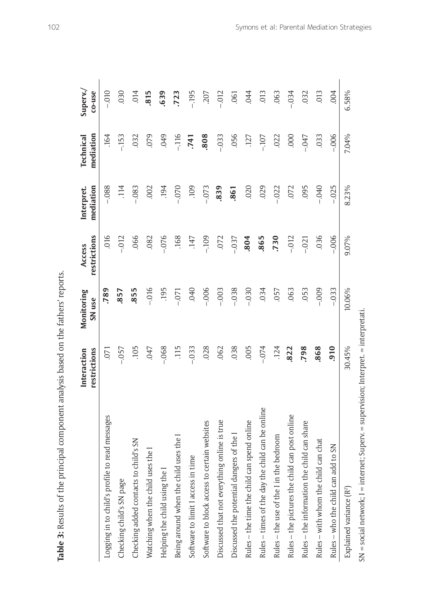| $\frac{1}{2}$ |  |
|---------------|--|
|               |  |
| í<br>)<br>J   |  |
|               |  |
|               |  |
|               |  |
|               |  |
|               |  |
|               |  |
|               |  |
|               |  |
|               |  |
|               |  |
|               |  |
| į<br>j        |  |

|                                                                                      | restrictions<br>Interaction | Monitoring<br>SN use | restrictions<br>Access | mediation<br>Interpret. | mediation<br>Technical | Superv.<br>$co$ -use |
|--------------------------------------------------------------------------------------|-----------------------------|----------------------|------------------------|-------------------------|------------------------|----------------------|
| Logging in to child's profile to read messages                                       | .071                        | .789                 | 016                    | $-0.88$                 | .164                   | $-010$               |
| Checking child's SN page                                                             | $-0.57$                     | .857                 | $-.012$                | .114                    | $-153$                 | 030                  |
| Checking added contacts to child's SN                                                | .105                        | 855                  | .066                   | $-.083$                 | .032                   | 014                  |
| Watching when the child uses the I                                                   | <b>CFO</b>                  | $-0.016$             | .082                   | .002                    | 079                    | 815                  |
| Helping the child using the I                                                        | $-068$                      | .195                 | $-076$                 | .194                    | 049                    | 639                  |
| uses the<br>Being around when the child                                              | .115                        | $-071$               | .168                   | $-070$                  | $-116$                 | .723                 |
| me<br>Software to limit I access in ti                                               | $-.033$                     | 040                  | .147                   | .109                    | 741                    | $-195$               |
| Software to block access to certain websites                                         | .028                        | $-0.006$             | $-109$                 | $-.073$                 | 808                    | 207                  |
| Discussed that not everything online is true                                         | .062                        | $-.003$              | .072                   | .839                    | $-0.33$                | $-.012$              |
| Discussed the potential dangers of the I                                             | 038                         | $-0.38$              | $-0.37$                | .861                    | .056                   | .061                 |
| Rules - the time the child can spend online                                          | .005                        | $-0.30$              | .804                   | 020                     | .127                   | 044                  |
| Rules – times of the day the child can be online                                     | $-074$                      | 034                  | .865                   | 029                     | $-107$                 | 013                  |
| bedroom<br>Rules - the use of the I in the                                           | .124                        | .057                 | .730                   | $-.022$                 | .022                   | .063                 |
| can post online<br>Rules - the pictures the child                                    | 822                         | 063                  | $-.012$                | .072                    | 000                    | $-0.34$              |
| Rules - the information the child can share                                          | 798                         | .053                 | $-.021$                | 095                     | $-047$                 | 032                  |
| can chat<br>Rules – with whom the child                                              | 868                         | $-0.009$             | .036                   | $-040$                  | .033                   | 013                  |
| Rules - who the child can add to SN                                                  | 010.                        | $-.033$              | $-0.006$               | $-.025$                 | $-0.006$               | 004                  |
| Explained variance (R <sup>2</sup> )                                                 | 30.45%                      | 10.06%               | 9.07%                  | 8.23%                   | 7.04%                  | 6.58%                |
| SN = social network; I = internet; Superv. = supervision; Interpret. = interpretati. |                             |                      |                        |                         |                        |                      |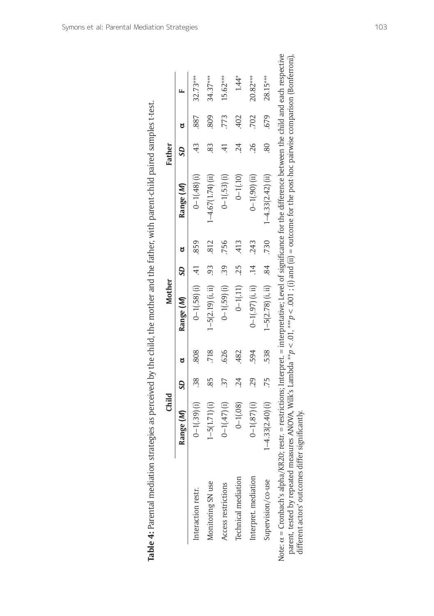| 28.15***<br>32.73***<br>$1.44*$<br>34.37***<br>$15.62***$<br>$20.82***$<br>щ<br>679<br>773<br>.702<br>809<br>887<br>.402<br>ರ<br>80<br>26<br>83<br>43<br>$\tilde{C}$<br>41<br>$\overline{a}$<br>$1 - 4.33(2.42)$ (ii)<br>$0 - 1(0.53)$ (i)<br>$0 - 1(.10)$<br>$0 - 1(0.48)$ (i)<br>$1 - 4.67(1.74)$ (ii)<br>$0-1(.90)$ (ii)<br>Range (M)<br>.730<br>.756<br>.812<br>.413<br>.859<br>243<br>ರ<br>$1-5(2.78)$ (i, ii) .84<br>$\overline{3}$<br>93<br><b>وج</b><br>25<br>$\vec{=}$<br>4<br>$1 - 5(2.19)$ (i, ii)<br>$0 - 1(.58)$ (i)<br>$0-1(.59)$ (i)<br>$0 - 1(0.11)$<br>$0-1(.97)$ $(i, ii)$<br>Range (M)<br>.718<br>.626<br>.538<br>808<br>482<br>594<br>ರ<br>.75<br>85<br>38.<br>29<br>37<br>$\ddot{c}$<br>$\overline{a}$<br>$1 - 4.33(2.40)$ (i)<br>$0 - 1(47)$ (i)<br>$1 - 5(1.71)$ (i)<br>$0 - 1(0.08)$<br>$0 - 1(.87)$ (i)<br>$0 - 1(.39)$ (i)<br>Range (M)<br>Interpret. mediation<br>Technical mediation<br>Supervision/co-use<br>Monitoring SN use<br>Access restrictions<br>Interaction restr. | Child |  | <b>Mother</b> |  | Father |  |
|----------------------------------------------------------------------------------------------------------------------------------------------------------------------------------------------------------------------------------------------------------------------------------------------------------------------------------------------------------------------------------------------------------------------------------------------------------------------------------------------------------------------------------------------------------------------------------------------------------------------------------------------------------------------------------------------------------------------------------------------------------------------------------------------------------------------------------------------------------------------------------------------------------------------------------------------------------------------------------------------------------|-------|--|---------------|--|--------|--|
|                                                                                                                                                                                                                                                                                                                                                                                                                                                                                                                                                                                                                                                                                                                                                                                                                                                                                                                                                                                                          |       |  |               |  |        |  |
|                                                                                                                                                                                                                                                                                                                                                                                                                                                                                                                                                                                                                                                                                                                                                                                                                                                                                                                                                                                                          |       |  |               |  |        |  |
|                                                                                                                                                                                                                                                                                                                                                                                                                                                                                                                                                                                                                                                                                                                                                                                                                                                                                                                                                                                                          |       |  |               |  |        |  |
|                                                                                                                                                                                                                                                                                                                                                                                                                                                                                                                                                                                                                                                                                                                                                                                                                                                                                                                                                                                                          |       |  |               |  |        |  |
|                                                                                                                                                                                                                                                                                                                                                                                                                                                                                                                                                                                                                                                                                                                                                                                                                                                                                                                                                                                                          |       |  |               |  |        |  |
|                                                                                                                                                                                                                                                                                                                                                                                                                                                                                                                                                                                                                                                                                                                                                                                                                                                                                                                                                                                                          |       |  |               |  |        |  |
|                                                                                                                                                                                                                                                                                                                                                                                                                                                                                                                                                                                                                                                                                                                                                                                                                                                                                                                                                                                                          |       |  |               |  |        |  |

| l<br>Ó<br>ï<br>i                     |
|--------------------------------------|
| ¢<br>ı                               |
|                                      |
|                                      |
|                                      |
| ļ                                    |
| ١                                    |
|                                      |
| ļ                                    |
| $\frac{1}{2}$                        |
| I<br>j                               |
|                                      |
| ׇ֚֓                                  |
|                                      |
| י<br>י<br>i<br>l                     |
| i                                    |
| 7<br>١                               |
|                                      |
|                                      |
| l                                    |
|                                      |
| ¢<br>i<br>ľ                          |
| ė                                    |
| d<br>$\frac{\mathsf{e}}{\mathsf{d}}$ |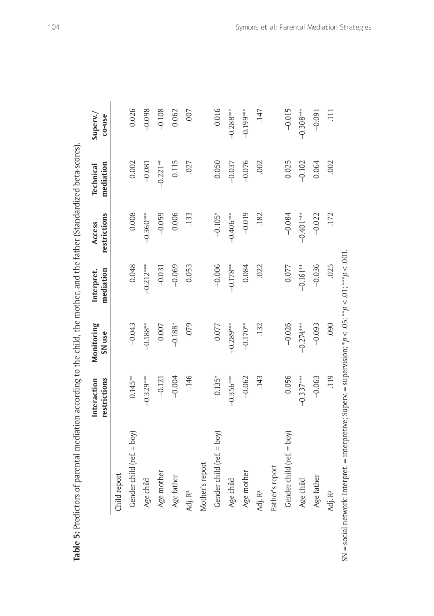| l                                  |
|------------------------------------|
| l                                  |
|                                    |
|                                    |
|                                    |
|                                    |
|                                    |
|                                    |
|                                    |
|                                    |
|                                    |
|                                    |
|                                    |
|                                    |
|                                    |
|                                    |
|                                    |
|                                    |
|                                    |
|                                    |
|                                    |
|                                    |
|                                    |
| ۱                                  |
|                                    |
|                                    |
|                                    |
|                                    |
|                                    |
|                                    |
|                                    |
|                                    |
|                                    |
|                                    |
|                                    |
|                                    |
|                                    |
|                                    |
|                                    |
|                                    |
|                                    |
|                                    |
|                                    |
|                                    |
|                                    |
|                                    |
|                                    |
|                                    |
|                                    |
|                                    |
|                                    |
|                                    |
|                                    |
| l                                  |
|                                    |
|                                    |
|                                    |
|                                    |
|                                    |
|                                    |
|                                    |
|                                    |
| $\ddot{\phantom{a}}$<br> <br> <br> |
| ¢                                  |
|                                    |
| i                                  |
|                                    |
| $\overline{a}$                     |
|                                    |
|                                    |
|                                    |
| ֚֓֡                                |
|                                    |
|                                    |
|                                    |
|                                    |
|                                    |
|                                    |
|                                    |
|                                    |
|                                    |
|                                    |
|                                    |
|                                    |
|                                    |
|                                    |
|                                    |
|                                    |
|                                    |
|                                    |
|                                    |
|                                    |
|                                    |
|                                    |
|                                    |
| I                                  |
|                                    |
| ı                                  |
|                                    |
| j                                  |
| è<br>Ì                             |

|                             | restrictions<br>Interaction | Monitoring<br>SN use | mediation<br>Interpret. | restrictions<br>Access | mediation<br>Technical | Superv./<br>$co-USE$ |
|-----------------------------|-----------------------------|----------------------|-------------------------|------------------------|------------------------|----------------------|
| Child report                |                             |                      |                         |                        |                        |                      |
| Gender child (ref. = boy)   | $0.145***$                  | $-0.043$             | 0.048                   | 0.008                  | 0.002                  | 0.026                |
| Age child                   | $-0.329***$                 | $-0.188**$           | $-0.212***$             | $-0.360***$            | $-0.081$               | $-0.098$             |
| Age mother                  | $-0.121$                    | 0.007                | $-0.031$                | $-0.059$               | $-0.221**$             | $-0.108$             |
| Age father                  | $-0.004$                    | $-0.188*$            | $-0.069$                | 0.006                  | 0.115                  | 0.062                |
| Adj. R <sup>2</sup>         | .146                        | 079                  | 0.053                   | .133                   | 027                    |                      |
| Mother's report             |                             |                      |                         |                        |                        |                      |
| Gender child (ref. $=$ boy) | $0.135*$                    | 0.077                | $-0.006$                | $-0.105*$              | 0.050                  | 0.016                |
| Age child                   | $-0.356***$                 | $-0.289***$          | $-0.178**$              | $-0.406***$            | $-0.037$               | $-0.288***$          |
| Age mother                  | $-0.062$                    | $-0.170**$           | 0.084                   | $-0.019$               | $-0.076$               | $-0.199***$          |
| Adj. R <sup>2</sup>         | .143                        | .132                 | .022                    | .182                   | .002                   |                      |
| Father's report             |                             |                      |                         |                        |                        |                      |
| Gender child (ref. = boy)   | 0.056                       | $-0.026$             | 0.077                   | $-0.084$               | 0.025                  | $-0.015$             |
| Age child                   | $-0.337***$                 | $-0.274***$          | $-0.161**$              | $-0.401***$            | $-0.102$               | $-0.308***$          |
| Age father                  | $-0.063$                    | $-0.093$             | $-0.036$                | $-0.022$               | 0.064                  | $-0.091$             |
| Adj. R <sup>2</sup>         | .119                        | 090                  | .025                    | .172                   | .002                   |                      |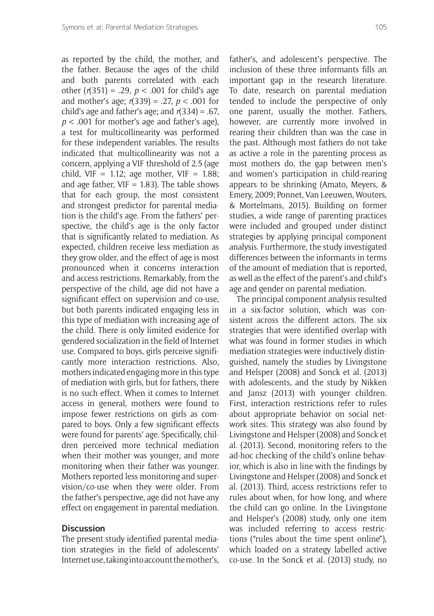as reported by the child, the mother, and the father. Because the ages of the child and both parents correlated with each other  $(r(351) = .29, p < .001$  for child's age and mother's age; *r*(339) = .27, *p* < .001 for child's age and father's age; and *r*(334) = .67, *p* < .001 for mother's age and father's age), a test for multicollinearity was performed for these independent variables. The results indicated that multicollinearity was not a concern, applying a VIF threshold of 2.5 (age child, VIF = 1.12; age mother, VIF =  $1.88$ ; and age father,  $VIF = 1.83$ ). The table shows that for each group, the most consistent and strongest predictor for parental mediation is the child's age. From the fathers' perspective, the child's age is the only factor that is significantly related to mediation. As expected, children receive less mediation as they grow older, and the effect of age is most pronounced when it concerns interaction and access restrictions. Remarkably, from the perspective of the child, age did not have a significant effect on supervision and co-use, but both parents indicated engaging less in this type of mediation with increasing age of the child. There is only limited evidence for gendered socialization in the field of Internet use. Compared to boys, girls perceive significantly more interaction restrictions. Also, mothers indicated engaging more in this type of mediation with girls, but for fathers, there is no such effect. When it comes to Internet access in general, mothers were found to impose fewer restrictions on girls as compared to boys. Only a few significant effects were found for parents' age. Specifically, children perceived more technical mediation when their mother was younger, and more monitoring when their father was younger. Mothers reported less monitoring and supervision/co-use when they were older. From the father's perspective, age did not have any effect on engagement in parental mediation.

## **Discussion**

The present study identified parental mediation strategies in the field of adolescents' Internet use, taking into account the mother's,

father's, and adolescent's perspective. The inclusion of these three informants fills an important gap in the research literature. To date, research on parental mediation tended to include the perspective of only one parent, usually the mother. Fathers, however, are currently more involved in rearing their children than was the case in the past. Although most fathers do not take as active a role in the parenting process as most mothers do, the gap between men's and women's participation in child-rearing appears to be shrinking (Amato, Meyers, & Emery, 2009; Ponnet, Van Leeuwen, Wouters, & Mortelmans, 2015). Building on former studies, a wide range of parenting practices were included and grouped under distinct strategies by applying principal component analysis. Furthermore, the study investigated differences between the informants in terms of the amount of mediation that is reported, as well as the effect of the parent's and child's age and gender on parental mediation.

The principal component analysis resulted in a six-factor solution, which was consistent across the different actors. The six strategies that were identified overlap with what was found in former studies in which mediation strategies were inductively distinguished, namely the studies by Livingstone and Helsper (2008) and Sonck et al. (2013) with adolescents, and the study by Nikken and Jansz (2013) with younger children. First, interaction restrictions refer to rules about appropriate behavior on social network sites. This strategy was also found by Livingstone and Helsper (2008) and Sonck et al. (2013). Second, monitoring refers to the ad-hoc checking of the child's online behavior, which is also in line with the findings by Livingstone and Helsper (2008) and Sonck et al. (2013). Third, access restrictions refer to rules about when, for how long, and where the child can go online. In the Livingstone and Helsper's (2008) study, only one item was included referring to access restrictions ("rules about the time spent online"), which loaded on a strategy labelled active co-use. In the Sonck et al. (2013) study, no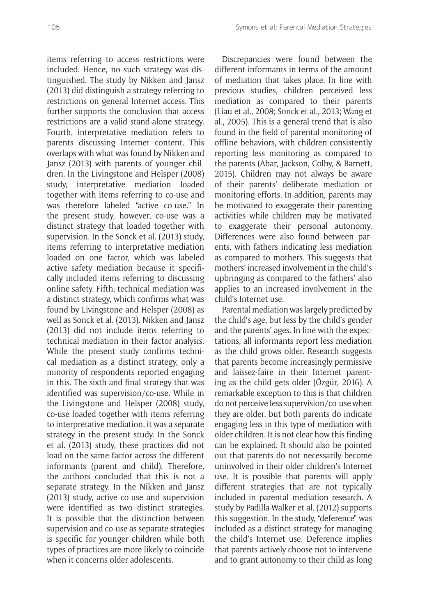items referring to access restrictions were included. Hence, no such strategy was distinguished. The study by Nikken and Jansz (2013) did distinguish a strategy referring to restrictions on general Internet access. This further supports the conclusion that access restrictions are a valid stand-alone strategy. Fourth, interpretative mediation refers to parents discussing Internet content. This overlaps with what was found by Nikken and Jansz (2013) with parents of younger children. In the Livingstone and Helsper (2008) study, interpretative mediation loaded together with items referring to co-use and was therefore labeled "active co-use." In the present study, however, co-use was a distinct strategy that loaded together with supervision. In the Sonck et al. (2013) study, items referring to interpretative mediation loaded on one factor, which was labeled active safety mediation because it specifically included items referring to discussing online safety. Fifth, technical mediation was a distinct strategy, which confirms what was found by Livingstone and Helsper (2008) as well as Sonck et al. (2013). Nikken and Jansz (2013) did not include items referring to technical mediation in their factor analysis. While the present study confirms technical mediation as a distinct strategy, only a minority of respondents reported engaging in this. The sixth and final strategy that was identified was supervision/co-use. While in the Livingstone and Helsper (2008) study, co-use loaded together with items referring to interpretative mediation, it was a separate strategy in the present study. In the Sonck et al. (2013) study, these practices did not load on the same factor across the different informants (parent and child). Therefore, the authors concluded that this is not a separate strategy. In the Nikken and Jansz (2013) study, active co-use and supervision were identified as two distinct strategies. It is possible that the distinction between supervision and co-use as separate strategies is specific for younger children while both types of practices are more likely to coincide when it concerns older adolescents.

Discrepancies were found between the different informants in terms of the amount of mediation that takes place. In line with previous studies, children perceived less mediation as compared to their parents (Liau et al., 2008; Sonck et al., 2013; Wang et al., 2005). This is a general trend that is also found in the field of parental monitoring of offline behaviors, with children consistently reporting less monitoring as compared to the parents (Abar, Jackson, Colby, & Barnett, 2015). Children may not always be aware of their parents' deliberate mediation or monitoring efforts. In addition, parents may be motivated to exaggerate their parenting activities while children may be motivated to exaggerate their personal autonomy. Differences were also found between parents, with fathers indicating less mediation as compared to mothers. This suggests that mothers' increased involvement in the child's upbringing as compared to the fathers' also applies to an increased involvement in the child's Internet use.

Parental mediation was largely predicted by the child's age, but less by the child's gender and the parents' ages. In line with the expectations, all informants report less mediation as the child grows older. Research suggests that parents become increasingly permissive and laissez-faire in their Internet parenting as the child gets older (Özgür, 2016). A remarkable exception to this is that children do not perceive less supervision/co-use when they are older, but both parents do indicate engaging less in this type of mediation with older children. It is not clear how this finding can be explained. It should also be pointed out that parents do not necessarily become uninvolved in their older children's Internet use. It is possible that parents will apply different strategies that are not typically included in parental mediation research. A study by Padilla-Walker et al. (2012) supports this suggestion. In the study, "deference" was included as a distinct strategy for managing the child's Internet use. Deference implies that parents actively choose not to intervene and to grant autonomy to their child as long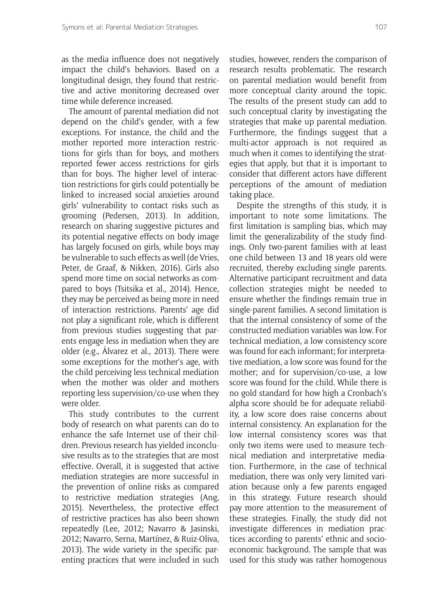as the media influence does not negatively impact the child's behaviors. Based on a longitudinal design, they found that restrictive and active monitoring decreased over time while deference increased.

The amount of parental mediation did not depend on the child's gender, with a few exceptions. For instance, the child and the mother reported more interaction restrictions for girls than for boys, and mothers reported fewer access restrictions for girls than for boys. The higher level of interaction restrictions for girls could potentially be linked to increased social anxieties around girls' vulnerability to contact risks such as grooming (Pedersen, 2013). In addition, research on sharing suggestive pictures and its potential negative effects on body image has largely focused on girls, while boys may be vulnerable to such effects as well (de Vries, Peter, de Graaf, & Nikken, 2016). Girls also spend more time on social networks as compared to boys (Tsitsika et al., 2014). Hence, they may be perceived as being more in need of interaction restrictions. Parents' age did not play a significant role, which is different from previous studies suggesting that parents engage less in mediation when they are older (e.g., Álvarez et al., 2013). There were some exceptions for the mother's age, with the child perceiving less technical mediation when the mother was older and mothers reporting less supervision/co-use when they were older.

This study contributes to the current body of research on what parents can do to enhance the safe Internet use of their children. Previous research has yielded inconclusive results as to the strategies that are most effective. Overall, it is suggested that active mediation strategies are more successful in the prevention of online risks as compared to restrictive mediation strategies (Ang, 2015). Nevertheless, the protective effect of restrictive practices has also been shown repeatedly (Lee, 2012; Navarro & Jasinski, 2012; Navarro, Serna, Martínez, & Ruiz-Oliva, 2013). The wide variety in the specific parenting practices that were included in such

studies, however, renders the comparison of research results problematic. The research on parental mediation would benefit from more conceptual clarity around the topic. The results of the present study can add to such conceptual clarity by investigating the strategies that make up parental mediation. Furthermore, the findings suggest that a multi-actor approach is not required as much when it comes to identifying the strategies that apply, but that it is important to consider that different actors have different perceptions of the amount of mediation taking place.

Despite the strengths of this study, it is important to note some limitations. The first limitation is sampling bias, which may limit the generalizability of the study findings. Only two-parent families with at least one child between 13 and 18 years old were recruited, thereby excluding single parents. Alternative participant recruitment and data collection strategies might be needed to ensure whether the findings remain true in single-parent families. A second limitation is that the internal consistency of some of the constructed mediation variables was low. For technical mediation, a low consistency score was found for each informant; for interpretative mediation, a low score was found for the mother; and for supervision/co-use, a low score was found for the child. While there is no gold standard for how high a Cronbach's alpha score should be for adequate reliability, a low score does raise concerns about internal consistency. An explanation for the low internal consistency scores was that only two items were used to measure technical mediation and interpretative mediation. Furthermore, in the case of technical mediation, there was only very limited variation because only a few parents engaged in this strategy. Future research should pay more attention to the measurement of these strategies. Finally, the study did not investigate differences in mediation practices according to parents' ethnic and socioeconomic background. The sample that was used for this study was rather homogenous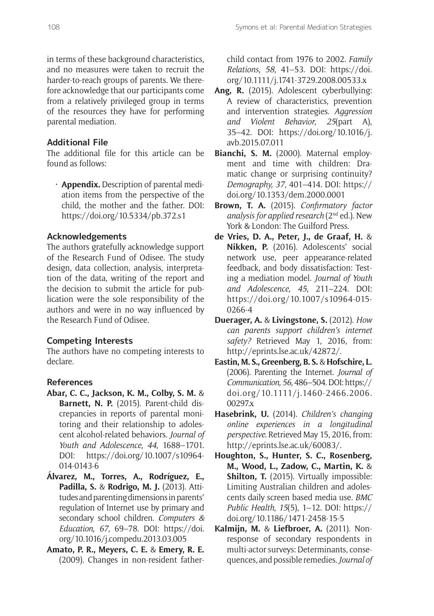in terms of these background characteristics, and no measures were taken to recruit the harder-to-reach groups of parents. We therefore acknowledge that our participants come from a relatively privileged group in terms of the resources they have for performing parental mediation.

## **Additional File**

The additional file for this article can be found as follows:

• **Appendix.** Description of parental mediation items from the perspective of the child, the mother and the father. DOI: <https://doi.org/10.5334/pb.372.s1>

## **Acknowledgements**

The authors gratefully acknowledge support of the Research Fund of Odisee. The study design, data collection, analysis, interpretation of the data, writing of the report and the decision to submit the article for publication were the sole responsibility of the authors and were in no way influenced by the Research Fund of Odisee.

## **Competing Interests**

The authors have no competing interests to declare.

## **References**

- **Abar, C. C., Jackson, K. M., Colby, S. M.** & **Barnett, N. P.** (2015). Parent-child discrepancies in reports of parental monitoring and their relationship to adolescent alcohol-related behaviors. *Journal of Youth and Adolescence, 44*, 1688–1701. DOI: [https://doi.org/10.1007/s10964-](https://doi.org/10.1007/s10964-014-0143-6) [014-0143-6](https://doi.org/10.1007/s10964-014-0143-6)
- **Álvarez, M., Torres, A., Rodríguez, E., Padilla, S.** & **Rodrigo, M. J.** (2013). Attitudes and parenting dimensions in parents' regulation of Internet use by primary and secondary school children. *Computers & Education, 67*, 69–78. DOI: [https://doi.](https://doi.org/10.1016/j.compedu.2013.03.005) [org/10.1016/j.compedu.2013.03.005](https://doi.org/10.1016/j.compedu.2013.03.005)
- **Amato, P. R., Meyers, C. E.** & **Emery, R. E.**  (2009). Changes in non-resident father-

child contact from 1976 to 2002. *Family Relations, 58*, 41–53. DOI: [https://doi.](https://doi.org/10.1111/j.1741-3729.2008.00533.x) [org/10.1111/j.1741-3729.2008.00533.x](https://doi.org/10.1111/j.1741-3729.2008.00533.x)

- **Ang, R.** (2015). Adolescent cyberbullying: A review of characteristics, prevention and intervention strategies. *Aggression and Violent Behavior, 25*(part A), 35–42. DOI: [https://doi.org/10.1016/j.](https://doi.org/10.1016/j.avb.2015.07.011) [avb.2015.07.011](https://doi.org/10.1016/j.avb.2015.07.011)
- **Bianchi, S. M.** (2000). Maternal employment and time with children: Dramatic change or surprising continuity? *Demography, 37*, 401–414. DOI: [https://](https://doi.org/10.1353/dem.2000.0001) [doi.org/10.1353/dem.2000.0001](https://doi.org/10.1353/dem.2000.0001)
- **Brown, T. A.** (2015). *Confirmatory factor analysis for applied research* (2nd ed.). New York & London: The Guilford Press.
- **de Vries, D. A., Peter, J., de Graaf, H.** & **Nikken, P.** (2016). Adolescents' social network use, peer appearance-related feedback, and body dissatisfaction: Testing a mediation model. *Journal of Youth and Adolescence, 45*, 211–224. DOI: [https://doi.org/10.1007/s10964-015-](https://doi.org/10.1007/s10964-015-0266-4) [0266-4](https://doi.org/10.1007/s10964-015-0266-4)
- **Duerager, A.** & **Livingstone, S.** (2012). *How can parents support children's internet safety?* Retrieved May 1, 2016, from: [http://eprints.lse.ac.uk/42872/.](http://eprints.lse.ac.uk/42872/)
- **Eastin, M. S., Greenberg, B. S.** & **Hofschire, L.**  (2006). Parenting the Internet. *Journal of Communication, 56*, 486–504. DOI: [https://](https://doi.org/10.1111/j.1460-2466.2006.00297.x) [doi.org/10.1111/j.1460-2466.2006.](https://doi.org/10.1111/j.1460-2466.2006.00297.x) [00297.x](https://doi.org/10.1111/j.1460-2466.2006.00297.x)
- **Hasebrink, U.** (2014). *Children's changing online experiences in a longitudinal perspective*. Retrieved May 15, 2016, from: [http://eprints.lse.ac.uk/60083/.](http://eprints.lse.ac.uk/60083/)
- **Houghton, S., Hunter, S. C., Rosenberg, M., Wood, L., Zadow, C., Martin, K.** & **Shilton, T.** (2015). Virtually impossible: Limiting Australian children and adolescents daily screen based media use. *BMC Public Health, 15*(5), 1–12. DOI: [https://](https://doi.org/10.1186/1471-2458-15-5) [doi.org/10.1186/1471-2458-15-5](https://doi.org/10.1186/1471-2458-15-5)
- **Kalmijn, M.** & **Liefbroer, A.** (2011). Nonresponse of secondary respondents in multi-actor surveys: Determinants, consequences, and possible remedies. *Journal of*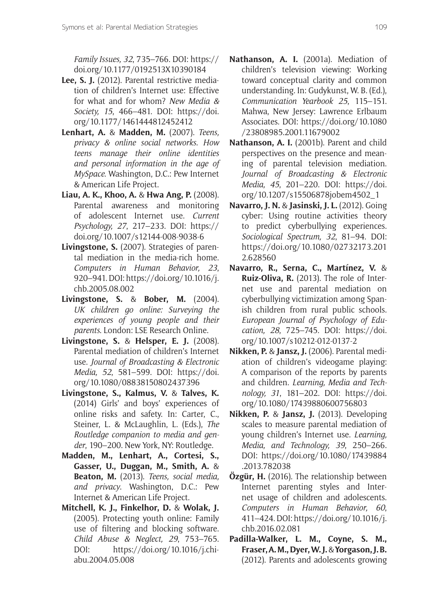*Family Issues, 32*, 735–766. DOI: [https://](https://doi.org/10.1177/0192513X10390184) [doi.org/10.1177/0192513X10390184](https://doi.org/10.1177/0192513X10390184)

- **Lee, S. J.** (2012). Parental restrictive mediation of children's Internet use: Effective for what and for whom? *New Media & Society, 15*, 466–481. DOI: [https://doi.](https://doi.org/10.1177/1461444812452412) [org/10.1177/1461444812452412](https://doi.org/10.1177/1461444812452412)
- **Lenhart, A.** & **Madden, M.** (2007). *Teens, privacy & online social networks. How teens manage their online identities and personal information in the age of MySpace*. Washington, D.C.: Pew Internet & American Life Project.
- **Liau, A. K., Khoo, A.** & **Hwa Ang, P.** (2008). Parental awareness and monitoring of adolescent Internet use. *Current Psychology, 27*, 217–233. DOI: [https://](https://doi.org/10.1007/s12144-008-9038-6) [doi.org/10.1007/s12144-008-9038-6](https://doi.org/10.1007/s12144-008-9038-6)
- Livingstone, S. (2007). Strategies of parental mediation in the media-rich home. *Computers in Human Behavior, 23*, 920–941. DOI: [https://doi.org/10.1016/j.](https://doi.org/10.1016/j.chb.2005.08.002) [chb.2005.08.002](https://doi.org/10.1016/j.chb.2005.08.002)
- **Livingstone, S.** & **Bober, M.** (2004). *UK children go online: Surveying the experiences of young people and their parents*. London: LSE Research Online.
- **Livingstone, S.** & **Helsper, E. J.** (2008). Parental mediation of children's Internet use. *Journal of Broadcasting & Electronic Media, 52*, 581–599. DOI: [https://doi.](https://doi.org/10.1080/08838150802437396) [org/10.1080/08838150802437396](https://doi.org/10.1080/08838150802437396)
- **Livingstone, S., Kalmus, V.** & **Talves, K.**  (2014) Girls' and boys' experiences of online risks and safety. In: Carter, C., Steiner, L. & McLaughlin, L. (Eds.), *The Routledge companion to media and gender*, 190–200. New York, NY: Routledge.
- **Madden, M., Lenhart, A., Cortesi, S., Gasser, U., Duggan, M., Smith, A.** & **Beaton, M.** (2013). *Teens, social media, and privacy*. Washington, D.C.: Pew Internet & American Life Project.
- **Mitchell, K. J., Finkelhor, D.** & **Wolak, J.**  (2005). Protecting youth online: Family use of filtering and blocking software. *Child Abuse & Neglect, 29*, 753–765. DOI: [https://doi.org/10.1016/j.chi](https://doi.org/10.1016/j.chiabu.2004.05.008)[abu.2004.05.008](https://doi.org/10.1016/j.chiabu.2004.05.008)
- **Nathanson, A. I.** (2001a). Mediation of children's television viewing: Working toward conceptual clarity and common understanding. In: Gudykunst, W. B. (Ed.), *Communication Yearbook 25*, 115–151. Mahwa, New Jersey: Lawrence Erlbaum Associates. DOI: [https://doi.org/10.1080](https://doi.org/10.1080/23808985.2001.11679002) [/23808985.2001.11679002](https://doi.org/10.1080/23808985.2001.11679002)
- **Nathanson, A. I.** (2001b). Parent and child perspectives on the presence and meaning of parental television mediation. *Journal of Broadcasting & Electronic Media, 45*, 201–220. DOI: [https://doi.](https://doi.org/10.1207/s15506878jobem4502_1) [org/10.1207/s15506878jobem4502\\_1](https://doi.org/10.1207/s15506878jobem4502_1)
- **Navarro, J. N.** & **Jasinski, J. L.** (2012). Going cyber: Using routine activities theory to predict cyberbullying experiences. *Sociological Spectrum, 32*, 81–94. DOI: [https://doi.org/10.1080/02732173.201](https://doi.org/10.1080/02732173.2012.628560) [2.628560](https://doi.org/10.1080/02732173.2012.628560)
- **Navarro, R., Serna, C., Martínez, V.** & **Ruiz-Oliva, R.** (2013). The role of Internet use and parental mediation on cyberbullying victimization among Spanish children from rural public schools. *European Journal of Psychology of Education, 28*, 725–745. DOI: [https://doi.](https://doi.org/10.1007/s10212-012-0137-2) [org/10.1007/s10212-012-0137-2](https://doi.org/10.1007/s10212-012-0137-2)
- **Nikken, P.** & **Jansz, J.** (2006). Parental mediation of children's videogame playing: A comparison of the reports by parents and children. *Learning, Media and Technology, 31*, 181–202. DOI: [https://doi.](https://doi.org/10.1080/17439880600756803) [org/10.1080/17439880600756803](https://doi.org/10.1080/17439880600756803)
- **Nikken, P.** & **Jansz, J.** (2013). Developing scales to measure parental mediation of young children's Internet use. *Learning, Media, and Technology, 39*, 250–266. DOI: [https://doi.org/10.1080/17439884](https://doi.org/10.1080/17439884.2013.782038) [.2013.782038](https://doi.org/10.1080/17439884.2013.782038)
- **Özgür, H.** (2016). The relationship between Internet parenting styles and Internet usage of children and adolescents. *Computers in Human Behavior, 60*, 411–424. DOI: [https://doi.org/10.1016/j.](https://doi.org/10.1016/j.chb.2016.02.081) [chb.2016.02.081](https://doi.org/10.1016/j.chb.2016.02.081)
- **Padilla-Walker, L. M., Coyne, S. M., Fraser, A. M., Dyer, W. J.** & **Yorgason, J. B.**  (2012). Parents and adolescents growing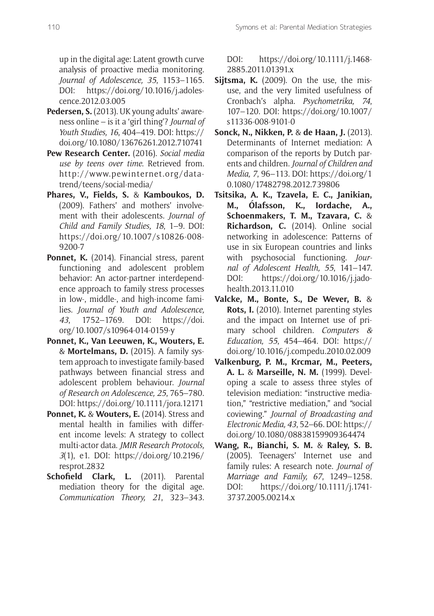up in the digital age: Latent growth curve analysis of proactive media monitoring. *Journal of Adolescence, 35*, 1153–1165. DOI: [https://doi.org/10.1016/j.adoles](https://doi.org/10.1016/j.adolescence.2012.03.005)[cence.2012.03.005](https://doi.org/10.1016/j.adolescence.2012.03.005)

- Pedersen, S. (2013). UK young adults' awareness online – is it a 'girl thing'? *Journal of Youth Studies, 16*, 404–419. DOI: [https://](https://doi.org/10.1080/13676261.2012.710741) [doi.org/10.1080/13676261.2012.710741](https://doi.org/10.1080/13676261.2012.710741)
- **Pew Research Center.** (2016). *Social media use by teens over time*. Retrieved from. [http://www.pewinternet.org/data](http://www.pewinternet.org/data-trend/teens/social-media/)[trend/teens/social-media/](http://www.pewinternet.org/data-trend/teens/social-media/)
- **Phares, V., Fields, S.** & **Kamboukos, D.**  (2009). Fathers' and mothers' involvement with their adolescents. *Journal of Child and Family Studies, 18*, 1–9. DOI: [https://doi.org/10.1007/s10826-008-](https://doi.org/10.1007/s10826-008-9200-7) [9200-7](https://doi.org/10.1007/s10826-008-9200-7)
- Ponnet, K. (2014). Financial stress, parent functioning and adolescent problem behavior: An actor-partner interdependence approach to family stress processes in low-, middle-, and high-income families. *Journal of Youth and Adolescence, 43*, 1752–1769. DOI: [https://doi.](https://doi.org/10.1007/s10964-014-0159-y) [org/10.1007/s10964-014-0159-y](https://doi.org/10.1007/s10964-014-0159-y)
- **Ponnet, K., Van Leeuwen, K., Wouters, E.**  & **Mortelmans, D.** (2015). A family system approach to investigate family-based pathways between financial stress and adolescent problem behaviour. *Journal of Research on Adolescence, 25*, 765–780. DOI: <https://doi.org/10.1111/jora.12171>
- **Ponnet, K. & Wouters, E. (2014). Stress and** mental health in families with different income levels: A strategy to collect multi-actor data. *JMIR Research Protocols, 3*(1), e1. DOI: [https://doi.org/10.2196/](https://doi.org/10.2196/resprot.2832) [resprot.2832](https://doi.org/10.2196/resprot.2832)
- **Schofield Clark, L.** (2011). Parental mediation theory for the digital age. *Communication Theory, 21*, 323–343.

DOI: [https://doi.org/10.1111/j.1468-](https://doi.org/10.1111/j.1468-2885.2011.01391.x) [2885.2011.01391.x](https://doi.org/10.1111/j.1468-2885.2011.01391.x)

- Sijtsma, K. (2009). On the use, the misuse, and the very limited usefulness of Cronbach's alpha. *Psychometrika, 74*, 107–120. DOI: [https://doi.org/10.1007/](https://doi.org/10.1007/s11336-008-9101-0) [s11336-008-9101-0](https://doi.org/10.1007/s11336-008-9101-0)
- **Sonck, N., Nikken, P.** & **de Haan, J.** (2013). Determinants of Internet mediation: A comparison of the reports by Dutch parents and children. *Journal of Children and Media, 7*, 96–113. DOI: [https://doi.org/1](https://doi.org/10.1080/17482798.2012.739806) [0.1080/17482798.2012.739806](https://doi.org/10.1080/17482798.2012.739806)
- **Tsitsika, A. K., Tzavela, E. C., Janikian, M., Ólafsson, K., Iordache, A., Schoenmakers, T. M., Tzavara, C.** & **Richardson, C.** (2014). Online social networking in adolescence: Patterns of use in six European countries and links with psychosocial functioning. *Journal of Adolescent Health, 55*, 141–147. DOI: [https://doi.org/10.1016/j.jado](https://doi.org/10.1016/j.jadohealth.2013.11.010)[health.2013.11.010](https://doi.org/10.1016/j.jadohealth.2013.11.010)
- **Valcke, M., Bonte, S., De Wever, B.** & **Rots, I.** (2010). Internet parenting styles and the impact on Internet use of primary school children. *Computers & Education, 55*, 454–464. DOI: [https://](https://doi.org/10.1016/j.compedu.2010.02.009) [doi.org/10.1016/j.compedu.2010.02.009](https://doi.org/10.1016/j.compedu.2010.02.009)
- **Valkenburg, P. M., Krcmar, M., Peeters, A. L.** & **Marseille, N. M.** (1999). Developing a scale to assess three styles of television mediation: "instructive mediation," "restrictive mediation," and "social coviewing." *Journal of Broadcasting and Electronic Media, 43*, 52–66. DOI: [https://](https://doi.org/10.1080/08838159909364474) [doi.org/10.1080/08838159909364474](https://doi.org/10.1080/08838159909364474)
- **Wang, R., Bianchi, S. M.** & **Raley, S. B.**  (2005). Teenagers' Internet use and family rules: A research note. *Journal of Marriage and Family, 67*, 1249–1258. DOI: [https://doi.org/10.1111/j.1741-](https://doi.org/10.1111/j.1741-3737.2005.00214.x) [3737.2005.00214.x](https://doi.org/10.1111/j.1741-3737.2005.00214.x)